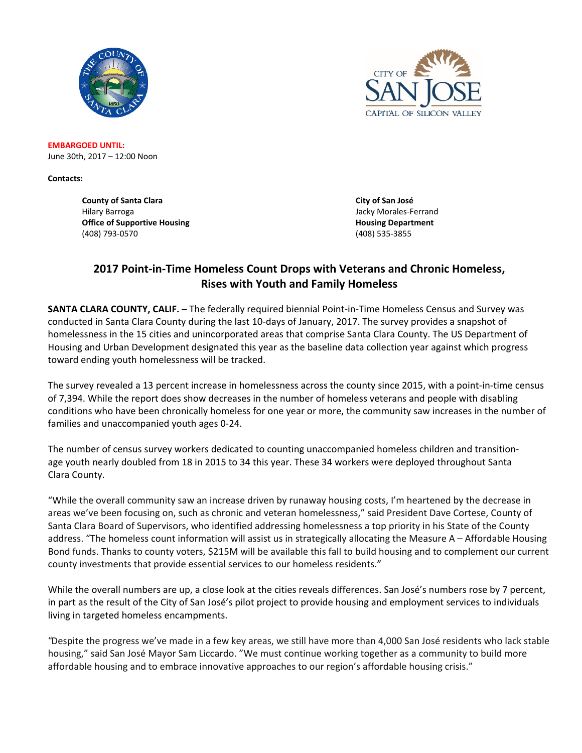



**EMBARGOED UNTIL:** June 30th, 2017 – 12:00 Noon

**Contacts:** 

**County of Santa Clara City of San José** Hilary Barroga Jacky Morales-Ferrand **Office of Supportive Housing Community Community Community Community Community Community Community Community Community Community Community Community Community Community Community Community Community Community Community Co** (408) 793-0570 (408) 535-3855

## **2017 Point-in-Time Homeless Count Drops with Veterans and Chronic Homeless, Rises with Youth and Family Homeless**

**SANTA CLARA COUNTY, CALIF.** – The federally required biennial Point-in-Time Homeless Census and Survey was conducted in Santa Clara County during the last 10-days of January, 2017. The survey provides a snapshot of homelessness in the 15 cities and unincorporated areas that comprise Santa Clara County. The US Department of Housing and Urban Development designated this year as the baseline data collection year against which progress toward ending youth homelessness will be tracked.

The survey revealed a 13 percent increase in homelessness across the county since 2015, with a point-in-time census of 7,394. While the report does show decreases in the number of homeless veterans and people with disabling conditions who have been chronically homeless for one year or more, the community saw increases in the number of families and unaccompanied youth ages 0-24.

The number of census survey workers dedicated to counting unaccompanied homeless children and transitionage youth nearly doubled from 18 in 2015 to 34 this year. These 34 workers were deployed throughout Santa Clara County.

"While the overall community saw an increase driven by runaway housing costs, I'm heartened by the decrease in areas we've been focusing on, such as chronic and veteran homelessness," said President Dave Cortese, County of Santa Clara Board of Supervisors, who identified addressing homelessness a top priority in his State of the County address. "The homeless count information will assist us in strategically allocating the Measure A – Affordable Housing Bond funds. Thanks to county voters, \$215M will be available this fall to build housing and to complement our current county investments that provide essential services to our homeless residents."

While the overall numbers are up, a close look at the cities reveals differences. San José's numbers rose by 7 percent, in part as the result of the City of San José's pilot project to provide housing and employment services to individuals living in targeted homeless encampments.

*"*Despite the progress we've made in a few key areas, we still have more than 4,000 San José residents who lack stable housing," said San José Mayor Sam Liccardo. "We must continue working together as a community to build more affordable housing and to embrace innovative approaches to our region's affordable housing crisis."